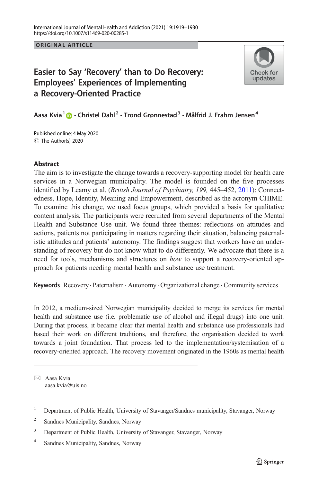ORIGINAL ARTICLE

# Easier to Say 'Recovery' than to Do Recovery: Employees' Experiences of Implementing a Recovery-Oriented Practice



Aasa Kvia $1 \bullet \cdot$  Christel Dahl<sup>2</sup>  $\cdot$  Trond Grønnestad<sup>3</sup>  $\cdot$  Målfrid J. Frahm Jensen<sup>4</sup>

C The Author(s) 2020 Published online: 4 May 2020

### Abstract

The aim is to investigate the change towards a recovery-supporting model for health care services in a Norwegian municipality. The model is founded on the five processes identified by Leamy et al. (British Journal of Psychiatry, 199, 445-452, [2011\)](#page-10-0): Connectedness, Hope, Identity, Meaning and Empowerment, described as the acronym CHIME. To examine this change, we used focus groups, which provided a basis for qualitative content analysis. The participants were recruited from several departments of the Mental Health and Substance Use unit. We found three themes: reflections on attitudes and actions, patients not participating in matters regarding their situation, balancing paternalistic attitudes and patients' autonomy. The findings suggest that workers have an understanding of recovery but do not know what to do differently. We advocate that there is a need for tools, mechanisms and structures on how to support a recovery-oriented approach for patients needing mental health and substance use treatment.

Keywords Recovery. Paternalism . Autonomy. Organizational change . Community services

In 2012, a medium-sized Norwegian municipality decided to merge its services for mental health and substance use (i.e. problematic use of alcohol and illegal drugs) into one unit. During that process, it became clear that mental health and substance use professionals had based their work on different traditions, and therefore, the organisation decided to work towards a joint foundation. That process led to the implementation/systemisation of a recovery-oriented approach. The recovery movement originated in the 1960s as mental health

 $\boxtimes$  Aasa Kvia [aasa.kvia@uis.no](mailto:aasa.kvia@uis.no)

<sup>&</sup>lt;sup>1</sup> Department of Public Health, University of Stavanger/Sandnes municipality, Stavanger, Norway

<sup>2</sup> Sandnes Municipality, Sandnes, Norway

<sup>&</sup>lt;sup>3</sup> Department of Public Health, University of Stavanger, Stavanger, Norway

<sup>4</sup> Sandnes Municipality, Sandnes, Norway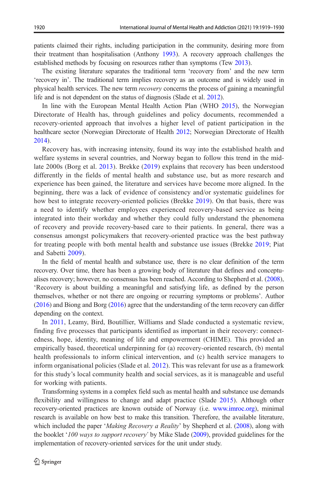patients claimed their rights, including participation in the community, desiring more from their treatment than hospitalisation (Anthony [1993](#page-10-0)). A recovery approach challenges the established methods by focusing on resources rather than symptoms (Tew [2013](#page-11-0)).

The existing literature separates the traditional term 'recovery from' and the new term 'recovery in'. The traditional term implies recovery as an outcome and is widely used in physical health services. The new term recovery concerns the process of gaining a meaningful life and is not dependent on the status of diagnosis (Slade et al. [2012\)](#page-11-0).

In line with the European Mental Health Action Plan (WHO [2015](#page-11-0)), the Norwegian Directorate of Health has, through guidelines and policy documents, recommended a recovery-oriented approach that involves a higher level of patient participation in the healthcare sector (Norwegian Directorate of Health [2012](#page-10-0); Norwegian Directorate of Health [2014](#page-10-0)).

Recovery has, with increasing intensity, found its way into the established health and welfare systems in several countries, and Norway began to follow this trend in the midlate 2000s (Borg et al. [2013](#page-10-0)). Brekke ([2019](#page-10-0)) explains that recovery has been understood differently in the fields of mental health and substance use, but as more research and experience has been gained, the literature and services have become more aligned. In the beginning, there was a lack of evidence of consistency and/or systematic guidelines for how best to integrate recovery-oriented policies (Brekke [2019\)](#page-10-0). On that basis, there was a need to identify whether employees experienced recovery-based service as being integrated into their workday and whether they could fully understand the phenomena of recovery and provide recovery-based care to their patients. In general, there was a consensus amongst policymakers that recovery-oriented practice was the best pathway for treating people with both mental health and substance use issues (Brekke [2019;](#page-10-0) Piat and Sabetti [2009](#page-11-0)).

In the field of mental health and substance use, there is no clear definition of the term recovery. Over time, there has been a growing body of literature that defines and conceptualises recovery; however, no consensus has been reached. According to Shepherd et al. ([2008](#page-11-0)), 'Recovery is about building a meaningful and satisfying life, as defined by the person themselves, whether or not there are ongoing or recurring symptoms or problems'. Author ([2016](#page-10-0)) and Biong and Borg ([2016](#page-10-0)) agree that the understanding of the term recovery can differ depending on the context.

In [2011](#page-10-0), Leamy, Bird, Boutillier, Williams and Slade conducted a systematic review, finding five processes that participants identified as important in their recovery: connectedness, hope, identity, meaning of life and empowerment (CHIME). This provided an empirically based, theoretical underpinning for (a) recovery-oriented research, (b) mental health professionals to inform clinical intervention, and (c) health service managers to inform organisational policies (Slade et al. [2012\)](#page-11-0). This was relevant for use as a framework for this study's local community health and social services, as it is manageable and useful for working with patients.

Transforming systems in a complex field such as mental health and substance use demands flexibility and willingness to change and adapt practice (Slade [2015\)](#page-11-0). Although other recovery-oriented practices are known outside of Norway (i.e. [www.imroc.org](https://doi.org/http://creativecommons.org/licenses/by/4.0/)), minimal research is available on how best to make this transition. Therefore, the available literature, which included the paper '*Making Recovery a Reality*' by Shepherd et al. [\(2008](#page-11-0)), along with the booklet '100 ways to support recovery' by Mike Slade [\(2009](#page-11-0)), provided guidelines for the implementation of recovery-oriented services for the unit under study.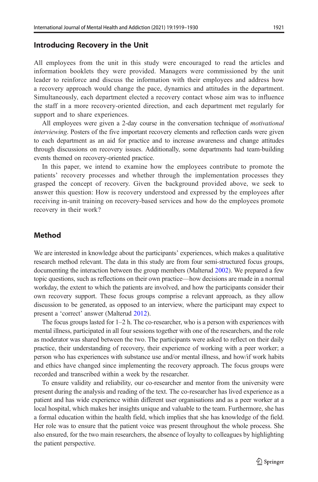### Introducing Recovery in the Unit

All employees from the unit in this study were encouraged to read the articles and information booklets they were provided. Managers were commissioned by the unit leader to reinforce and discuss the information with their employees and address how a recovery approach would change the pace, dynamics and attitudes in the department. Simultaneously, each department elected a recovery contact whose aim was to influence the staff in a more recovery-oriented direction, and each department met regularly for support and to share experiences.

All employees were given a 2-day course in the conversation technique of motivational interviewing. Posters of the five important recovery elements and reflection cards were given to each department as an aid for practice and to increase awareness and change attitudes through discussions on recovery issues. Additionally, some departments had team-building events themed on recovery-oriented practice.

In this paper, we intend to examine how the employees contribute to promote the patients' recovery processes and whether through the implementation processes they grasped the concept of recovery. Given the background provided above, we seek to answer this question: How is recovery understood and expressed by the employees after receiving in-unit training on recovery-based services and how do the employees promote recovery in their work?

### Method

We are interested in knowledge about the participants' experiences, which makes a qualitative research method relevant. The data in this study are from four semi-structured focus groups, documenting the interaction between the group members (Malterud [2002\)](#page-10-0). We prepared a few topic questions, such as reflections on their own practice—how decisions are made in a normal workday, the extent to which the patients are involved, and how the participants consider their own recovery support. These focus groups comprise a relevant approach, as they allow discussion to be generated, as opposed to an interview, where the participant may expect to present a 'correct' answer (Malterud [2012](#page-10-0)).

The focus groups lasted for 1–2 h. The co-researcher, who is a person with experiences with mental illness, participated in all four sessions together with one of the researchers, and the role as moderator was shared between the two. The participants were asked to reflect on their daily practice, their understanding of recovery, their experience of working with a peer worker; a person who has experiences with substance use and/or mental illness, and how/if work habits and ethics have changed since implementing the recovery approach. The focus groups were recorded and transcribed within a week by the researcher.

To ensure validity and reliability, our co-researcher and mentor from the university were present during the analysis and reading of the text. The co-researcher has lived experience as a patient and has wide experience within different user organisations and as a peer worker at a local hospital, which makes her insights unique and valuable to the team. Furthermore, she has a formal education within the health field, which implies that she has knowledge of the field. Her role was to ensure that the patient voice was present throughout the whole process. She also ensured, for the two main researchers, the absence of loyalty to colleagues by highlighting the patient perspective.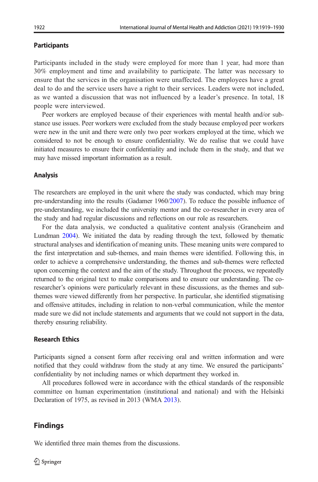#### **Participants**

Participants included in the study were employed for more than 1 year, had more than 30% employment and time and availability to participate. The latter was necessary to ensure that the services in the organisation were unaffected. The employees have a great deal to do and the service users have a right to their services. Leaders were not included, as we wanted a discussion that was not influenced by a leader's presence. In total, 18 people were interviewed.

Peer workers are employed because of their experiences with mental health and/or substance use issues. Peer workers were excluded from the study because employed peer workers were new in the unit and there were only two peer workers employed at the time, which we considered to not be enough to ensure confidentiality. We do realise that we could have initiated measures to ensure their confidentiality and include them in the study, and that we may have missed important information as a result.

#### Analysis

The researchers are employed in the unit where the study was conducted, which may bring pre-understanding into the results (Gadamer 1960/[2007](#page-10-0)). To reduce the possible influence of pre-understanding, we included the university mentor and the co-researcher in every area of the study and had regular discussions and reflections on our role as researchers.

For the data analysis, we conducted a qualitative content analysis (Graneheim and Lundman [2004\)](#page-10-0). We initiated the data by reading through the text, followed by thematic structural analyses and identification of meaning units. These meaning units were compared to the first interpretation and sub-themes, and main themes were identified. Following this, in order to achieve a comprehensive understanding, the themes and sub-themes were reflected upon concerning the context and the aim of the study. Throughout the process, we repeatedly returned to the original text to make comparisons and to ensure our understanding. The coresearcher's opinions were particularly relevant in these discussions, as the themes and subthemes were viewed differently from her perspective. In particular, she identified stigmatising and offensive attitudes, including in relation to non-verbal communication, while the mentor made sure we did not include statements and arguments that we could not support in the data, thereby ensuring reliability.

### Research Ethics

Participants signed a consent form after receiving oral and written information and were notified that they could withdraw from the study at any time. We ensured the participants' confidentiality by not including names or which department they worked in.

All procedures followed were in accordance with the ethical standards of the responsible committee on human experimentation (institutional and national) and with the Helsinki Declaration of 1975, as revised in 2013 (WMA [2013](#page-11-0)).

### Findings

We identified three main themes from the discussions.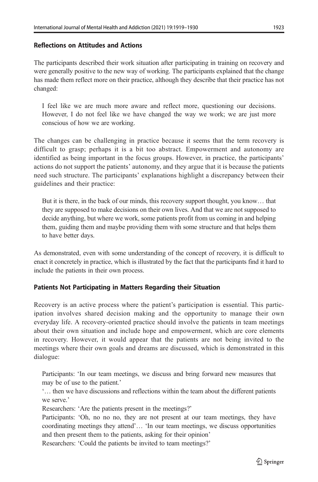# Reflections on Attitudes and Actions

The participants described their work situation after participating in training on recovery and were generally positive to the new way of working. The participants explained that the change has made them reflect more on their practice, although they describe that their practice has not changed:

I feel like we are much more aware and reflect more, questioning our decisions. However, I do not feel like we have changed the way we work; we are just more conscious of how we are working.

The changes can be challenging in practice because it seems that the term recovery is difficult to grasp; perhaps it is a bit too abstract. Empowerment and autonomy are identified as being important in the focus groups. However, in practice, the participants' actions do not support the patients' autonomy, and they argue that it is because the patients need such structure. The participants' explanations highlight a discrepancy between their guidelines and their practice:

But it is there, in the back of our minds, this recovery support thought, you know… that they are supposed to make decisions on their own lives. And that we are not supposed to decide anything, but where we work, some patients profit from us coming in and helping them, guiding them and maybe providing them with some structure and that helps them to have better days.

As demonstrated, even with some understanding of the concept of recovery, it is difficult to enact it concretely in practice, which is illustrated by the fact that the participants find it hard to include the patients in their own process.

# Patients Not Participating in Matters Regarding their Situation

Recovery is an active process where the patient's participation is essential. This participation involves shared decision making and the opportunity to manage their own everyday life. A recovery-oriented practice should involve the patients in team meetings about their own situation and include hope and empowerment, which are core elements in recovery. However, it would appear that the patients are not being invited to the meetings where their own goals and dreams are discussed, which is demonstrated in this dialogue:

Participants: 'In our team meetings, we discuss and bring forward new measures that may be of use to the patient.'

'… then we have discussions and reflections within the team about the different patients we serve.'

Researchers: 'Are the patients present in the meetings?'

Participants: 'Oh, no no no, they are not present at our team meetings, they have coordinating meetings they attend'… 'In our team meetings, we discuss opportunities and then present them to the patients, asking for their opinion'

Researchers: 'Could the patients be invited to team meetings?'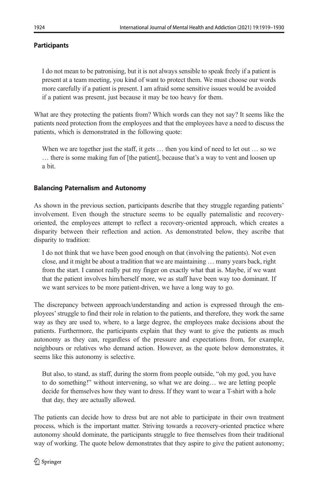## **Participants**

I do not mean to be patronising, but it is not always sensible to speak freely if a patient is present at a team meeting, you kind of want to protect them. We must choose our words more carefully if a patient is present. I am afraid some sensitive issues would be avoided if a patient was present, just because it may be too heavy for them.

What are they protecting the patients from? Which words can they not say? It seems like the patients need protection from the employees and that the employees have a need to discuss the patients, which is demonstrated in the following quote:

When we are together just the staff, it gets  $\dots$  then you kind of need to let out  $\dots$  so we … there is some making fun of [the patient], because that's a way to vent and loosen up a bit.

### Balancing Paternalism and Autonomy

As shown in the previous section, participants describe that they struggle regarding patients' involvement. Even though the structure seems to be equally paternalistic and recoveryoriented, the employees attempt to reflect a recovery-oriented approach, which creates a disparity between their reflection and action. As demonstrated below, they ascribe that disparity to tradition:

I do not think that we have been good enough on that (involving the patients). Not even close, and it might be about a tradition that we are maintaining … many years back, right from the start. I cannot really put my finger on exactly what that is. Maybe, if we want that the patient involves him/herself more, we as staff have been way too dominant. If we want services to be more patient-driven, we have a long way to go.

The discrepancy between approach/understanding and action is expressed through the employees'struggle to find their role in relation to the patients, and therefore, they work the same way as they are used to, where, to a large degree, the employees make decisions about the patients. Furthermore, the participants explain that they want to give the patients as much autonomy as they can, regardless of the pressure and expectations from, for example, neighbours or relatives who demand action. However, as the quote below demonstrates, it seems like this autonomy is selective.

But also, to stand, as staff, during the storm from people outside, "oh my god, you have to do something!" without intervening, so what we are doing… we are letting people decide for themselves how they want to dress. If they want to wear a T-shirt with a hole that day, they are actually allowed.

The patients can decide how to dress but are not able to participate in their own treatment process, which is the important matter. Striving towards a recovery-oriented practice where autonomy should dominate, the participants struggle to free themselves from their traditional way of working. The quote below demonstrates that they aspire to give the patient autonomy;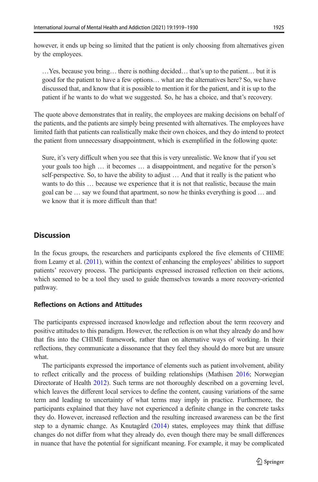…Yes, because you bring… there is nothing decided… that's up to the patient… but it is good for the patient to have a few options… what are the alternatives here? So, we have discussed that, and know that it is possible to mention it for the patient, and it is up to the patient if he wants to do what we suggested. So, he has a choice, and that's recovery.

The quote above demonstrates that in reality, the employees are making decisions on behalf of the patients, and the patients are simply being presented with alternatives. The employees have limited faith that patients can realistically make their own choices, and they do intend to protect the patient from unnecessary disappointment, which is exemplified in the following quote:

Sure, it's very difficult when you see that this is very unrealistic. We know that if you set your goals too high … it becomes … a disappointment, and negative for the person's self-perspective. So, to have the ability to adjust … And that it really is the patient who wants to do this ... because we experience that it is not that realistic, because the main goal can be … say we found that apartment, so now he thinks everything is good … and we know that it is more difficult than that!

# **Discussion**

by the employees.

In the focus groups, the researchers and participants explored the five elements of CHIME from Leamy et al. [\(2011](#page-10-0)), within the context of enhancing the employees' abilities to support patients' recovery process. The participants expressed increased reflection on their actions, which seemed to be a tool they used to guide themselves towards a more recovery-oriented pathway.

### Reflections on Actions and Attitudes

The participants expressed increased knowledge and reflection about the term recovery and positive attitudes to this paradigm. However, the reflection is on what they already do and how that fits into the CHIME framework, rather than on alternative ways of working. In their reflections, they communicate a dissonance that they feel they should do more but are unsure what.

The participants expressed the importance of elements such as patient involvement, ability to reflect critically and the process of building relationships (Mathisen [2016;](#page-10-0) Norwegian Directorate of Health [2012\)](#page-10-0). Such terms are not thoroughly described on a governing level, which leaves the different local services to define the content, causing variations of the same term and leading to uncertainty of what terms may imply in practice. Furthermore, the participants explained that they have not experienced a definite change in the concrete tasks they do. However, increased reflection and the resulting increased awareness can be the first step to a dynamic change. As Knutagård [\(2014\)](#page-10-0) states, employees may think that diffuse changes do not differ from what they already do, even though there may be small differences in nuance that have the potential for significant meaning. For example, it may be complicated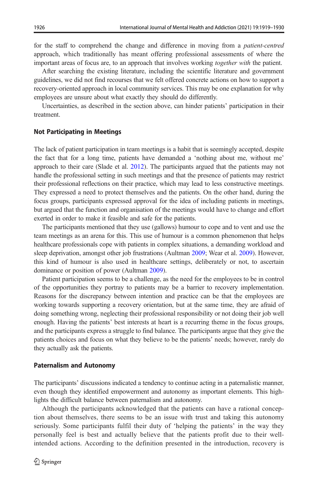for the staff to comprehend the change and difference in moving from a patient-centred approach, which traditionally has meant offering professional assessments of where the important areas of focus are, to an approach that involves working together with the patient.

After searching the existing literature, including the scientific literature and government guidelines, we did not find recourses that we felt offered concrete actions on how to support a recovery-oriented approach in local community services. This may be one explanation for why employees are unsure about what exactly they should do differently.

Uncertainties, as described in the section above, can hinder patients' participation in their treatment.

#### Not Participating in Meetings

The lack of patient participation in team meetings is a habit that is seemingly accepted, despite the fact that for a long time, patients have demanded a 'nothing about me, without me' approach to their care (Slade et al. [2012](#page-11-0)). The participants argued that the patients may not handle the professional setting in such meetings and that the presence of patients may restrict their professional reflections on their practice, which may lead to less constructive meetings. They expressed a need to protect themselves and the patients. On the other hand, during the focus groups, participants expressed approval for the idea of including patients in meetings, but argued that the function and organisation of the meetings would have to change and effort exerted in order to make it feasible and safe for the patients.

The participants mentioned that they use (gallows) humour to cope and to vent and use the team meetings as an arena for this. This use of humour is a common phenomenon that helps healthcare professionals cope with patients in complex situations, a demanding workload and sleep deprivation, amongst other job frustrations (Aultman [2009;](#page-10-0) Wear et al. [2009](#page-11-0)). However, this kind of humour is also used in healthcare settings, deliberately or not, to ascertain dominance or position of power (Aultman [2009](#page-10-0)).

Patient participation seems to be a challenge, as the need for the employees to be in control of the opportunities they portray to patients may be a barrier to recovery implementation. Reasons for the discrepancy between intention and practice can be that the employees are working towards supporting a recovery orientation, but at the same time, they are afraid of doing something wrong, neglecting their professional responsibility or not doing their job well enough. Having the patients' best interests at heart is a recurring theme in the focus groups, and the participants express a struggle to find balance. The participants argue that they give the patients choices and focus on what they believe to be the patients' needs; however, rarely do they actually ask the patients.

#### Paternalism and Autonomy

The participants' discussions indicated a tendency to continue acting in a paternalistic manner, even though they identified empowerment and autonomy as important elements. This highlights the difficult balance between paternalism and autonomy.

Although the participants acknowledged that the patients can have a rational conception about themselves, there seems to be an issue with trust and taking this autonomy seriously. Some participants fulfil their duty of 'helping the patients' in the way they personally feel is best and actually believe that the patients profit due to their wellintended actions. According to the definition presented in the introduction, recovery is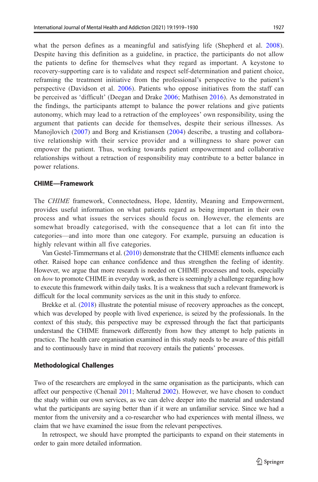what the person defines as a meaningful and satisfying life (Shepherd et al. [2008](#page-11-0)). Despite having this definition as a guideline, in practice, the participants do not allow the patients to define for themselves what they regard as important. A keystone to recovery-supporting care is to validate and respect self-determination and patient choice, reframing the treatment initiative from the professional's perspective to the patient's perspective (Davidson et al. [2006](#page-10-0)). Patients who oppose initiatives from the staff can be perceived as 'difficult' (Deegan and Drake [2006](#page-10-0); Mathisen [2016](#page-10-0)). As demonstrated in the findings, the participants attempt to balance the power relations and give patients autonomy, which may lead to a retraction of the employees' own responsibility, using the argument that patients can decide for themselves, despite their serious illnesses. As Manojlovich [\(2007](#page-10-0)) and Borg and Kristiansen ([2004](#page-10-0)) describe, a trusting and collaborative relationship with their service provider and a willingness to share power can empower the patient. Thus, working towards patient empowerment and collaborative relationships without a retraction of responsibility may contribute to a better balance in power relations.

#### CHIME—Framework

The CHIME framework, Connectedness, Hope, Identity, Meaning and Empowerment, provides useful information on what patients regard as being important in their own process and what issues the services should focus on. However, the elements are somewhat broadly categorised, with the consequence that a lot can fit into the categories—and into more than one category. For example, pursuing an education is highly relevant within all five categories.

Van Gestel-Timmermans et al. [\(2010\)](#page-11-0) demonstrate that the CHIME elements influence each other. Raised hope can enhance confidence and thus strengthen the feeling of identity. However, we argue that more research is needed on CHIME processes and tools, especially on how to promote CHIME in everyday work, as there is seemingly a challenge regarding how to execute this framework within daily tasks. It is a weakness that such a relevant framework is difficult for the local community services as the unit in this study to enforce.

Brekke et al. ([2018](#page-10-0)) illustrate the potential misuse of recovery approaches as the concept, which was developed by people with lived experience, is seized by the professionals. In the context of this study, this perspective may be expressed through the fact that participants understand the CHIME framework differently from how they attempt to help patients in practice. The health care organisation examined in this study needs to be aware of this pitfall and to continuously have in mind that recovery entails the patients' processes.

#### Methodological Challenges

Two of the researchers are employed in the same organisation as the participants, which can affect our perspective (Chenail [2011;](#page-10-0) Malterud [2002](#page-10-0)). However, we have chosen to conduct the study within our own services, as we can delve deeper into the material and understand what the participants are saying better than if it were an unfamiliar service. Since we had a mentor from the university and a co-researcher who had experiences with mental illness, we claim that we have examined the issue from the relevant perspectives.

In retrospect, we should have prompted the participants to expand on their statements in order to gain more detailed information.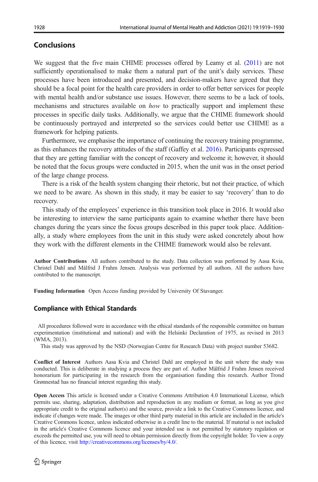# Conclusions

We suggest that the five main CHIME processes offered by Leamy et al. [\(2011\)](#page-10-0) are not sufficiently operationalised to make them a natural part of the unit's daily services. These processes have been introduced and presented, and decision-makers have agreed that they should be a focal point for the health care providers in order to offer better services for people with mental health and/or substance use issues. However, there seems to be a lack of tools, mechanisms and structures available on *how* to practically support and implement these processes in specific daily tasks. Additionally, we argue that the CHIME framework should be continuously portrayed and interpreted so the services could better use CHIME as a framework for helping patients.

Furthermore, we emphasise the importance of continuing the recovery training programme, as this enhances the recovery attitudes of the staff (Gaffey et al. [2016](#page-10-0)). Participants expressed that they are getting familiar with the concept of recovery and welcome it; however, it should be noted that the focus groups were conducted in 2015, when the unit was in the onset period of the large change process.

There is a risk of the health system changing their rhetoric, but not their practice, of which we need to be aware. As shown in this study, it may be easier to say 'recovery' than to do recovery.

This study of the employees' experience in this transition took place in 2016. It would also be interesting to interview the same participants again to examine whether there have been changes during the years since the focus groups described in this paper took place. Additionally, a study where employees from the unit in this study were asked concretely about how they work with the different elements in the CHIME framework would also be relevant.

Author Contributions All authors contributed to the study. Data collection was performed by Aasa Kvia, Christel Dahl and Målfrid J Frahm Jensen. Analysis was performed by all authors. All the authors have contributed to the manuscript.

Funding Information Open Access funding provided by University Of Stavanger.

### Compliance with Ethical Standards

All procedures followed were in accordance with the ethical standards of the responsible committee on human experimentation (institutional and national) and with the Helsinki Declaration of 1975, as revised in 2013 (WMA, 2013).

This study was approved by the NSD (Norwegian Centre for Research Data) with project number 53682.

Conflict of Interest Authors Aasa Kvia and Christel Dahl are employed in the unit where the study was conducted. This is deliberate in studying a process they are part of. Author Målfrid J Frahm Jensen received honorarium for participating in the research from the organisation funding this research. Author Trond Grønnestad has no financial interest regarding this study.

Open Access This article is licensed under a Creative Commons Attribution 4.0 International License, which permits use, sharing, adaptation, distribution and reproduction in any medium or format, as long as you give appropriate credit to the original author(s) and the source, provide a link to the Creative Commons licence, and indicate if changes were made. The images or other third party material in this article are included in the article's Creative Commons licence, unless indicated otherwise in a credit line to the material. If material is not included in the article's Creative Commons licence and your intended use is not permitted by statutory regulation or exceeds the permitted use, you will need to obtain permission directly from the copyright holder. To view a copy of this licence, visit [http://creativecommons.org/licenses/by/4.0/.](https://doi.org/http://creativecommons.org/licenses/by/4.0/)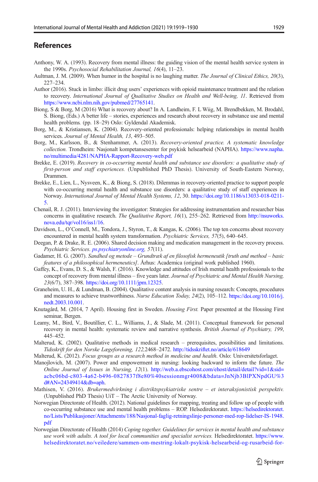### <span id="page-10-0"></span>References

- Anthony, W. A. (1993). Recovery from mental illness: the guiding vision of the mental health service system in the 1990s. Psychosocial Rehabilitation Journal, 16(4), 11–23.
- Aultman, J. M. (2009). When humor in the hospital is no laughing matter. The Journal of Clinical Ethics, 20(3), 227–234.
- Author (2016). Stuck in limbo: illicit drug users' experiences with opioid maintenance treatment and the relation to recovery. International Journal of Qualitative Studies on Health and Well-being, 11. Retrieved from [https://www.ncbi.nlm.nih.gov/pubmed/27765141](https://doi.org/http://creativecommons.org/licenses/by/4.0/).
- Biong, S & Borg, M (2016) What is recovery about? In A. Landheim, F. L Wiig, M. Brendbekken, M. Brodahl, S. Biong, (Eds.) A better life – stories, experiences and research about recovery in substance use and mental health problems. (pp. 18–29) Oslo: Gyldendal Akademisk.
- Borg, M., & Kristiansen, K. (2004). Recovery-oriented professionals: helping relationships in mental health services. Journal of Mental Health, 13, 493–505.
- Borg, M., Karlsson, B., & Stenhammer, A. (2013). Recovery-oriented practice. A systematic knowledge collection. Trondheim: Nasjonalt kompetansesenter for psykisk helsearbeid (NAPHA). [https://www.napha.](https://doi.org/http://creativecommons.org/licenses/by/4.0/) [no/multimedia/4281/NAPHA-Rapport-Recovery-web.pdf](https://doi.org/http://creativecommons.org/licenses/by/4.0/)
- Brekke, E. (2019). Recovery in co-occurring mental health and substance use disorders: a qualitative study of first-person and staff experiences. (Unpublished PhD Thesis). University of South-Eastern Norway, Drammen.
- Brekke, E., Lien, L., Nysveen, K., & Biong, S. (2018). Dilemmas in recovery-oriented practice to support people with co-occurring mental health and substance use disorders: a qualitative study of staff experiences in Norway. International Journal of Mental Health Systems, 12, 30. [https://doi.org/10.1186/s13033-018-0211-](https://doi.org/10.1186/s13033-018-0211-5) [5.](https://doi.org/10.1186/s13033-018-0211-5)
- Chenail, R. J. (2011). Interviewing the investigator: Strategies for addressing instrumentation and researcher bias concerns in qualitative research. The Qualitative Report, 16(1), 255–262. Retrieved from [http://nsuworks.](https://doi.org/http://creativecommons.org/licenses/by/4.0/) [nova.edu/tqr/vol16/iss1/16](https://doi.org/http://creativecommons.org/licenses/by/4.0/).
- Davidson, L., O'Connell, M., Tondora, J., Styron, T., & Kangas, K. (2006). The top ten concerns about recovery encountered in mental health system transformation. Psychiatric Services, 57(5), 640–645.
- Deegan, P. & Drake, R. E. (2006). Shared decision making and medication management in the recovery process. Psychiatric Services. *[ps.psychiatryonline.org](https://doi.org/http://creativecommons.org/licenses/by/4.0/)*, 57(11).
- Gadamer, H. G. (2007). Sandhed og metode Grundtræk af en filosofisk hermeneutik [truth and method basic features of a philosophical hermeneutics]. Århus: Academica (original work published 1960).
- Gaffey, K., Evans, D. S., & Walsh, F. (2016). Knowledge and attitudes of Irish mental health professionals to the concept of recovery from mental illness – five years later. Journal of Psychiatric and Mental Health Nursing, 23(6/7), 387–398. <https://doi.org/10.1111/jpm.12325>.
- Graneheim, U. H., & Lundman, B. (2004). Qualitative content analysis in nursing research: Concepts, procedures and measures to achieve trustworthiness. Nurse Education Today, 24(2), 105–112. [https://doi.org/10.1016/j.](https://doi.org/10.1016/j.nedt.2003.10.001) [nedt.2003.10.001](https://doi.org/10.1016/j.nedt.2003.10.001).
- Knutagård, M. (2014, 7 April). Housing first in Sweden. Housing First. Paper presented at the Housing First seminar, Bergen.
- Leamy, M., Bird, V., Boutillier, C. L., Williams, J., & Slade, M. (2011). Conceptual framework for personal recovery in mental health: systematic review and narrative synthesis. British Journal of Psychiatry, 199, 445–452.
- Malterud, K. (2002). Qualitative methods in medical research prerequisites, possibilities and limitations. Tidsskrift for den Norske Lægeforening, 122,2468–2472. [http://tidsskriftet.no/article/618649](https://doi.org/http://creativecommons.org/licenses/by/4.0/)
- Malterud, K. (2012). Focus groups as a research method in medicine and health. Oslo: Universitetsforlaget.
- Manojlovich, M. (2007). Power and empowerment in nursing: looking backward to inform the future. The Online Journal of Issues in Nursing, 12(1). [http://web.a.ebscohost.com/ehost/detail/detail?vid=1&sid=](https://doi.org/http://creativecommons.org/licenses/by/4.0/) [acbc06bd-c803-4a62-b496-0827837f8e80%40sessionmgr4008&bdata=JnNjb3BlPXNpdGU%3](https://doi.org/http://creativecommons.org/licenses/by/4.0/) [d#AN=24349414&db=aph](https://doi.org/http://creativecommons.org/licenses/by/4.0/).
- Mathisen, V. (2016). Brukermedvirkning i distriktspsykiatriske sentre et interaksjonistisk perspektiv. (Unpublished PhD Thesis) UiT – The Arctic University of Norway.
- Norwegian Directorate of Health. (2012). National guidelines for mapping, treating and follow up of people with co-occurring substance use and mental health problems – ROP. Helsedirektoratet. [https://helsedirektoratet.](https://doi.org/http://creativecommons.org/licenses/by/4.0/) [no/Lists/Publikasjoner/Attachments/188/Nasjonal-faglig-retningslinje-personer-med-rop-lidelser-IS-1948.](https://doi.org/http://creativecommons.org/licenses/by/4.0/) [pdf](https://doi.org/http://creativecommons.org/licenses/by/4.0/)
- Norwegian Directorate of Health (2014) Coping together. Guidelines for services in mental health and substance use work with adults. A tool for local communities and specialist services. Helsedirektoratet. [https://www.](https://doi.org/http://creativecommons.org/licenses/by/4.0/) [helsedirektoratet.no/veiledere/sammen-om-mestring-lokalt-psykisk-helsearbeid-og-rusarbeid-for-](https://doi.org/http://creativecommons.org/licenses/by/4.0/)